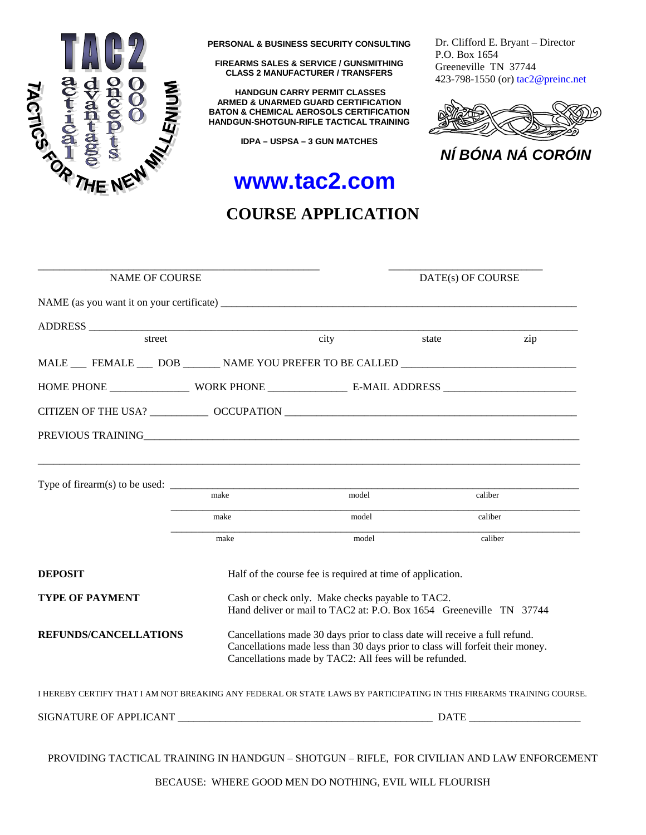

**PERSONAL & BUSINESS SECURITY CONSULTING**

**FIREARMS SALES & SERVICE / GUNSMITHING CLASS 2 MANUFACTURER / TRANSFERS** 

 **HANDGUN CARRY PERMIT CLASSES ARMED & UNARMED GUARD CERTIFICATION BATON & CHEMICAL AEROSOLS CERTIFICATION HANDGUN-SHOTGUN-RIFLE TACTICAL TRAINING**

**IDPA – USPSA – 3 GUN MATCHES** 

Dr. Clifford E. Bryant – Director P.O. Box 1654 Greeneville TN 37744 423-798-1550 (or) tac2@preinc.net



*NÍ BÓNA NÁ CORÓIN*

# **www.tac2.com**

### **COURSE APPLICATION**

| <b>NAME OF COURSE</b>                                                                                                |                                                            | DATE(s) OF COURSE                                                                                                                                                                                                     |       |         |  |  |
|----------------------------------------------------------------------------------------------------------------------|------------------------------------------------------------|-----------------------------------------------------------------------------------------------------------------------------------------------------------------------------------------------------------------------|-------|---------|--|--|
| NAME (as you want it on your certificate)                                                                            |                                                            |                                                                                                                                                                                                                       |       |         |  |  |
|                                                                                                                      |                                                            |                                                                                                                                                                                                                       |       |         |  |  |
| street                                                                                                               |                                                            | city                                                                                                                                                                                                                  | state | zip     |  |  |
| MALE FEMALE DOB ________ NAME YOU PREFER TO BE CALLED ___________________________                                    |                                                            |                                                                                                                                                                                                                       |       |         |  |  |
|                                                                                                                      |                                                            |                                                                                                                                                                                                                       |       |         |  |  |
|                                                                                                                      |                                                            |                                                                                                                                                                                                                       |       |         |  |  |
| PREVIOUS TRAINING <b>Example 2010</b> TRAINING <b>EXAMPLE 2010</b>                                                   |                                                            |                                                                                                                                                                                                                       |       |         |  |  |
|                                                                                                                      |                                                            |                                                                                                                                                                                                                       |       |         |  |  |
|                                                                                                                      | make                                                       | model                                                                                                                                                                                                                 |       | caliber |  |  |
|                                                                                                                      | make                                                       | model                                                                                                                                                                                                                 |       | caliber |  |  |
|                                                                                                                      | make                                                       | model                                                                                                                                                                                                                 |       | caliber |  |  |
| <b>DEPOSIT</b>                                                                                                       | Half of the course fee is required at time of application. |                                                                                                                                                                                                                       |       |         |  |  |
| <b>TYPE OF PAYMENT</b>                                                                                               |                                                            | Cash or check only. Make checks payable to TAC2.<br>Hand deliver or mail to TAC2 at: P.O. Box 1654 Greeneville TN 37744                                                                                               |       |         |  |  |
| <b>REFUNDS/CANCELLATIONS</b>                                                                                         |                                                            | Cancellations made 30 days prior to class date will receive a full refund.<br>Cancellations made less than 30 days prior to class will forfeit their money.<br>Cancellations made by TAC2: All fees will be refunded. |       |         |  |  |
| I HEREBY CERTIFY THAT I AM NOT BREAKING ANY FEDERAL OR STATE LAWS BY PARTICIPATING IN THIS FIREARMS TRAINING COURSE. |                                                            |                                                                                                                                                                                                                       |       |         |  |  |
|                                                                                                                      |                                                            |                                                                                                                                                                                                                       |       |         |  |  |
| PROVIDING TACTICAL TRAINING IN HANDGUN - SHOTGUN - RIFLE, FOR CIVILIAN AND LAW ENFORCEMENT                           |                                                            |                                                                                                                                                                                                                       |       |         |  |  |

BECAUSE: WHERE GOOD MEN DO NOTHING, EVIL WILL FLOURISH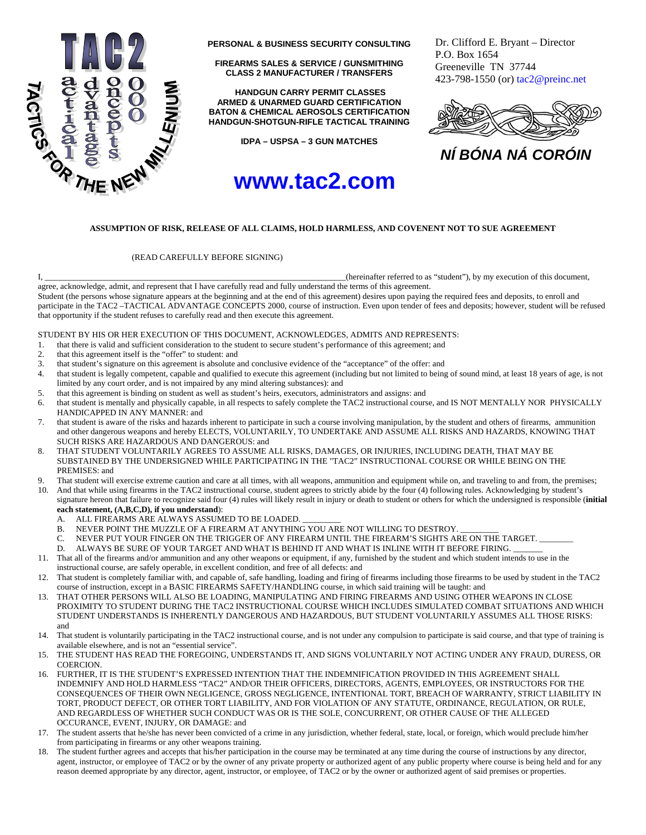

**PERSONAL & BUSINESS SECURITY CONSULTING**

**FIREARMS SALES & SERVICE / GUNSMITHING CLASS 2 MANUFACTURER / TRANSFERS** 

 **HANDGUN CARRY PERMIT CLASSES ARMED & UNARMED GUARD CERTIFICATION BATON & CHEMICAL AEROSOLS CERTIFICATION HANDGUN-SHOTGUN-RIFLE TACTICAL TRAINING**

**IDPA – USPSA – 3 GUN MATCHES** 

## **www.tac2.com**

Dr. Clifford E. Bryant – Director P.O. Box 1654 Greeneville TN 37744 423-798-1550 (or) tac2@preinc.net



*NÍ BÓNA NÁ CORÓIN*

### **ASSUMPTION OF RISK, RELEASE OF ALL CLAIMS, HOLD HARMLESS, AND COVENENT NOT TO SUE AGREEMENT**

#### (READ CAREFULLY BEFORE SIGNING)

I, \_\_\_\_\_\_\_\_\_\_\_\_\_\_\_\_\_\_\_\_\_\_\_\_\_\_\_\_\_\_\_\_\_\_\_\_\_\_\_\_\_\_\_\_\_\_\_\_\_\_\_\_\_\_\_\_\_\_\_\_\_\_\_\_\_\_\_\_\_\_\_(hereinafter referred to as "student"), by my execution of this document,

agree, acknowledge, admit, and represent that I have carefully read and fully understand the terms of this agreement. Student (the persons whose signature appears at the beginning and at the end of this agreement) desires upon paying the required fees and deposits, to enroll and participate in the TAC2 –TACTICAL ADVANTAGE CONCEPTS 2000, course of instruction. Even upon tender of fees and deposits; however, student will be refused that opportunity if the student refuses to carefully read and then execute this agreement.

STUDENT BY HIS OR HER EXECUTION OF THIS DOCUMENT, ACKNOWLEDGES, ADMITS AND REPRESENTS:

- 1. that there is valid and sufficient consideration to the student to secure student's performance of this agreement; and
- 2. that this agreement itself is the "offer" to student: and
- 3. that student's signature on this agreement is absolute and conclusive evidence of the "acceptance" of the offer: and
- 4. that student is legally competent, capable and qualified to execute this agreement (including but not limited to being of sound mind, at least 18 years of age, is not limited by any court order, and is not impaired by any mind altering substances): and
- 5. that this agreement is binding on student as well as student's heirs, executors, administrators and assigns: and
- 6. that student is mentally and physically capable, in all respects to safely complete the TAC2 instructional course, and IS NOT MENTALLY NOR PHYSICALLY HANDICAPPED IN ANY MANNER: and
- 7. that student is aware of the risks and hazards inherent to participate in such a course involving manipulation, by the student and others of firearms, ammunition and other dangerous weapons and hereby ELECTS, VOLUNTARILY, TO UNDERTAKE AND ASSUME ALL RISKS AND HAZARDS, KNOWING THAT SUCH RISKS ARE HAZARDOUS AND DANGEROUS: and
- 8. THAT STUDENT VOLUNTARILY AGREES TO ASSUME ALL RISKS, DAMAGES, OR INJURIES, INCLUDING DEATH, THAT MAY BE SUBSTAINED BY THE UNDERSIGNED WHILE PARTICIPATING IN THE "TAC2" INSTRUCTIONAL COURSE OR WHILE BEING ON THE PREMISES: and
- 9. That student will exercise extreme caution and care at all times, with all weapons, ammunition and equipment while on, and traveling to and from, the premises; 10. And that while using firearms in the TAC2 instructional course, student agrees to strictly abide by the four (4) following rules. Acknowledging by student's signature hereon that failure to recognize said four (4) rules will likely result in injury or death to student or others for which the undersigned is responsible (**initial** 
	- **each statement, (A,B,C,D), if you understand**): A. ALL FIREARMS ARE ALWAYS ASSUMED TO BE LOADED.
	- B. NEVER POINT THE MUZZLE OF A FIREARM AT ANYTHING YOU ARE NOT WILLING TO DESTROY.
	- C. NEVER PUT YOUR FINGER ON THE TRIGGER OF ANY FIREARM UNTIL THE FIREARM'S SIGHTS ARE ON THE TARGET.
	- D. ALWAYS BE SURE OF YOUR TARGET AND WHAT IS BEHIND IT AND WHAT IS INLINE WITH IT BEFORE FIRING.
- 11. That all of the firearms and/or ammunition and any other weapons or equipment, if any, furnished by the student and which student intends to use in the instructional course, are safely operable, in excellent condition, and free of all defects: and
- 12. That student is completely familiar with, and capable of, safe handling, loading and firing of firearms including those firearms to be used by student in the TAC2 course of instruction, except in a BASIC FIREARMS SAFETY/HANDLING course, in which said training will be taught: and
- 13. THAT OTHER PERSONS WILL ALSO BE LOADING, MANIPULATING AND FIRING FIREARMS AND USING OTHER WEAPONS IN CLOSE PROXIMITY TO STUDENT DURING THE TAC2 INSTRUCTIONAL COURSE WHICH INCLUDES SIMULATED COMBAT SITUATIONS AND WHICH STUDENT UNDERSTANDS IS INHERENTLY DANGEROUS AND HAZARDOUS, BUT STUDENT VOLUNTARILY ASSUMES ALL THOSE RISKS: and
- 14. That student is voluntarily participating in the TAC2 instructional course, and is not under any compulsion to participate is said course, and that type of training is available elsewhere, and is not an "essential service".
- 15. THE STUDENT HAS READ THE FOREGOING, UNDERSTANDS IT, AND SIGNS VOLUNTARILY NOT ACTING UNDER ANY FRAUD, DURESS, OR **COERCION**
- 16. FURTHER, IT IS THE STUDENT'S EXPRESSED INTENTION THAT THE INDEMNIFICATION PROVIDED IN THIS AGREEMENT SHALL INDEMNIFY AND HOLD HARMLESS "TAC2" AND/OR THEIR OFFICERS, DIRECTORS, AGENTS, EMPLOYEES, OR INSTRUCTORS FOR THE CONSEQUENCES OF THEIR OWN NEGLIGENCE, GROSS NEGLIGENCE, INTENTIONAL TORT, BREACH OF WARRANTY, STRICT LIABILITY IN TORT, PRODUCT DEFECT, OR OTHER TORT LIABILITY, AND FOR VIOLATION OF ANY STATUTE, ORDINANCE, REGULATION, OR RULE, AND REGARDLESS OF WHETHER SUCH CONDUCT WAS OR IS THE SOLE, CONCURRENT, OR OTHER CAUSE OF THE ALLEGED OCCURANCE, EVENT, INJURY, OR DAMAGE: and
- 17. The student asserts that he/she has never been convicted of a crime in any jurisdiction, whether federal, state, local, or foreign, which would preclude him/her from participating in firearms or any other weapons training.
- 18. The student further agrees and accepts that his/her participation in the course may be terminated at any time during the course of instructions by any director, agent, instructor, or employee of TAC2 or by the owner of any private property or authorized agent of any public property where course is being held and for any reason deemed appropriate by any director, agent, instructor, or employee, of TAC2 or by the owner or authorized agent of said premises or properties.